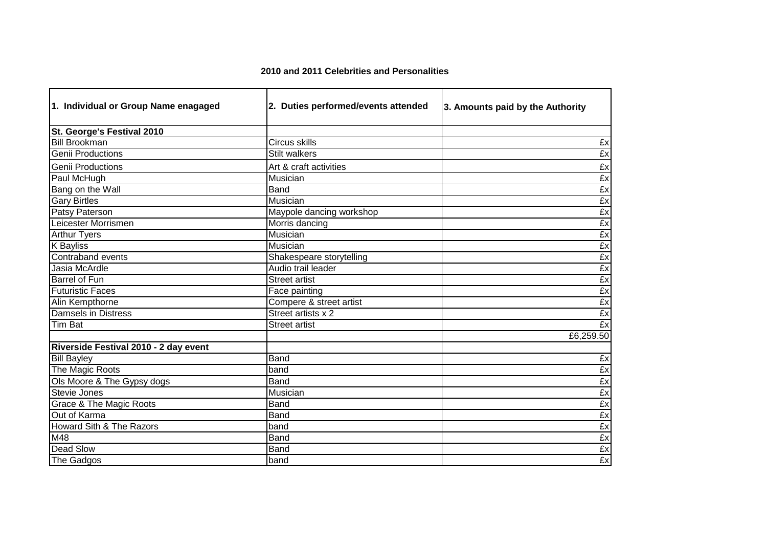## **2010 and 2011 Celebrities and Personalities**

| 1. Individual or Group Name enagaged  | 2. Duties performed/events attended | 3. Amounts paid by the Authority |
|---------------------------------------|-------------------------------------|----------------------------------|
| St. George's Festival 2010            |                                     |                                  |
| <b>Bill Brookman</b>                  | Circus skills                       | £x                               |
| <b>Genii Productions</b>              | <b>Stilt walkers</b>                | £x                               |
| <b>Genii Productions</b>              | Art & craft activities              | £x                               |
| Paul McHugh                           | Musician                            | £x                               |
| Bang on the Wall                      | Band                                | £x                               |
| <b>Gary Birtles</b>                   | Musician                            | £x                               |
| Patsy Paterson                        | Maypole dancing workshop            | £x                               |
| Leicester Morrismen                   | Morris dancing                      | Ex                               |
| <b>Arthur Tyers</b>                   | Musician                            | £x                               |
| <b>K</b> Bayliss                      | Musician                            | £x                               |
| Contraband events                     | Shakespeare storytelling            | £x                               |
| Jasia McArdle                         | Audio trail leader                  | £x                               |
| <b>Barrel of Fun</b>                  | <b>Street artist</b>                | £x                               |
| <b>Futuristic Faces</b>               | Face painting                       | £x                               |
| Alin Kempthorne                       | Compere & street artist             | £x                               |
| <b>Damsels in Distress</b>            | Street artists x 2                  | £x                               |
| <b>Tim Bat</b>                        | <b>Street artist</b>                | £x                               |
|                                       |                                     | £6,259.50                        |
| Riverside Festival 2010 - 2 day event |                                     |                                  |
| <b>Bill Bayley</b>                    | Band                                | £x                               |
| The Magic Roots                       | band                                | £x                               |
| Ols Moore & The Gypsy dogs            | Band                                | £x                               |
| Stevie Jones                          | Musician                            | £x                               |
| <b>Grace &amp; The Magic Roots</b>    | Band                                | £x                               |
| Out of Karma                          | Band                                | £x                               |
| Howard Sith & The Razors              | band                                | £x                               |
| M48                                   | Band                                | £x                               |
| <b>Dead Slow</b>                      | Band                                | £x                               |
| The Gadgos                            | band                                | £x                               |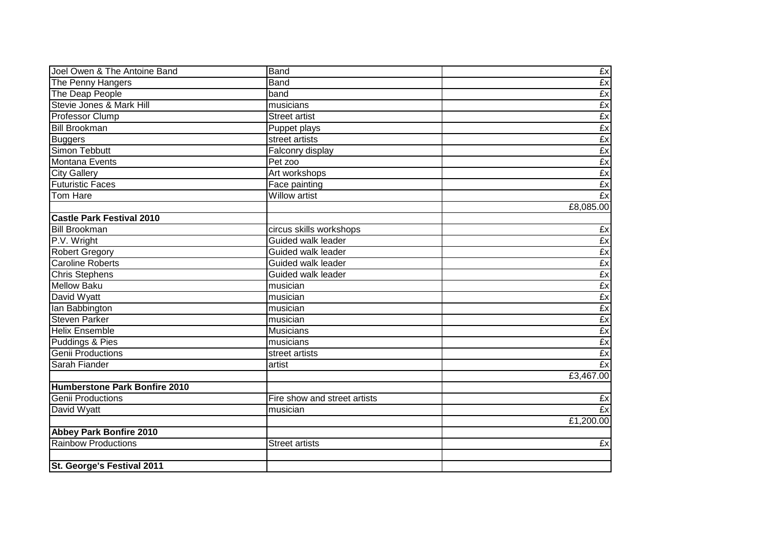| Joel Owen & The Antoine Band         | <b>Band</b>                  | £x              |
|--------------------------------------|------------------------------|-----------------|
| The Penny Hangers                    | Band                         | Ex              |
| The Deap People                      | band                         | £x              |
| Stevie Jones & Mark Hill             | musicians                    |                 |
| Professor Clump                      | <b>Street artist</b>         | $\frac{Ex}{Ex}$ |
| <b>Bill Brookman</b>                 | Puppet plays                 | £x              |
| <b>Buggers</b>                       | street artists               | Ex              |
| Simon Tebbutt                        | Falconry display             | Ex              |
| Montana Events                       | Pet zoo                      | £x              |
| <b>City Gallery</b>                  | Art workshops                | £x              |
| <b>Futuristic Faces</b>              | Face painting                | £x              |
| <b>Tom Hare</b>                      | <b>Willow artist</b>         | £x              |
|                                      |                              | £8,085.00       |
| <b>Castle Park Festival 2010</b>     |                              |                 |
| <b>Bill Brookman</b>                 | circus skills workshops      | £x              |
| P.V. Wright                          | Guided walk leader           | £x              |
| <b>Robert Gregory</b>                | Guided walk leader           | £x              |
| <b>Caroline Roberts</b>              | Guided walk leader           | $\frac{Ex}{Ex}$ |
| <b>Chris Stephens</b>                | Guided walk leader           |                 |
| <b>Mellow Baku</b>                   | musician                     |                 |
| David Wyatt                          | musician                     | £x              |
| lan Babbington                       | m <sub>usician</sub>         | £x              |
| <b>Steven Parker</b>                 | musician                     | £x              |
| <b>Helix Ensemble</b>                | Musicians                    | £x              |
| <b>Puddings &amp; Pies</b>           | musicians                    | £x              |
| <b>Genii Productions</b>             | street artists               | £x              |
| Sarah Fiander                        | artist                       | £x              |
|                                      |                              | £3,467.00       |
| <b>Humberstone Park Bonfire 2010</b> |                              |                 |
| <b>Genii Productions</b>             | Fire show and street artists | £x              |
| David Wyatt                          | musician                     | Ex              |
|                                      |                              | £1,200.00       |
| <b>Abbey Park Bonfire 2010</b>       |                              |                 |
| Rainbow Productions                  | <b>Street artists</b>        | £x              |
|                                      |                              |                 |
| St. George's Festival 2011           |                              |                 |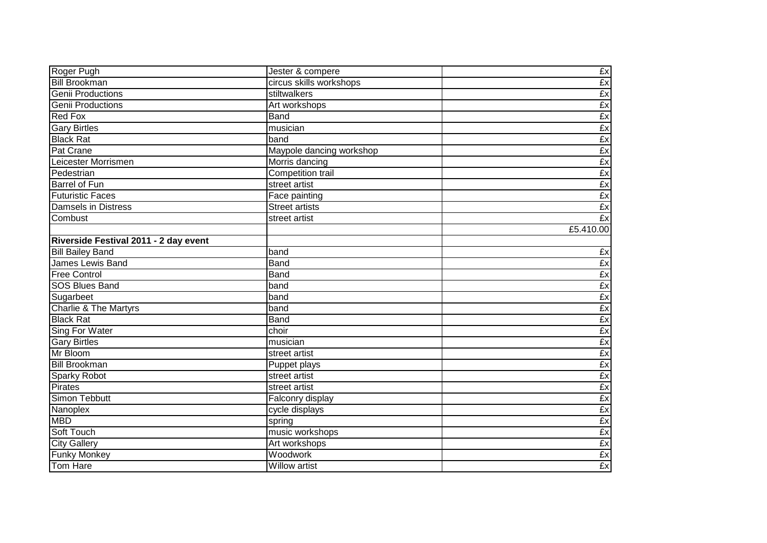| Roger Pugh                            | Jester & compere         | £x        |
|---------------------------------------|--------------------------|-----------|
| <b>Bill Brookman</b>                  | circus skills workshops  | £x        |
| Genii Productions                     | stiltwalkers             | Ex        |
| Genii Productions                     | Art workshops            | Ex        |
| <b>Red Fox</b>                        | <b>Band</b>              | £x        |
| <b>Gary Birtles</b>                   | musician                 | £x        |
| <b>Black Rat</b>                      | band                     | £x        |
| <b>Pat Crane</b>                      | Maypole dancing workshop | £x        |
| Leicester Morrismen                   | Morris dancing           | £x        |
| Pedestrian                            | Competition trail        | £x        |
| Barrel of Fun                         | street artist            | £x        |
| <b>Futuristic Faces</b>               | Face painting            | £x        |
| Damsels in Distress                   | <b>Street artists</b>    | £x        |
| Combust                               | street artist            | £x        |
|                                       |                          | £5.410.00 |
| Riverside Festival 2011 - 2 day event |                          |           |
| <b>Bill Bailey Band</b>               | band                     | £x        |
| James Lewis Band                      | Band                     | Ex        |
| <b>Free Control</b>                   | Band                     | £x        |
| <b>SOS Blues Band</b>                 | band                     | £x        |
| Sugarbeet                             | band                     | £x        |
| <b>Charlie &amp; The Martyrs</b>      | band                     | Ex        |
| <b>Black Rat</b>                      | <b>Band</b>              | £x        |
| <b>Sing For Water</b>                 | choir                    | Ex        |
| <b>Gary Birtles</b>                   | musician                 | Ex        |
| Mr Bloom                              | street artist            | Ex        |
| <b>Bill Brookman</b>                  | Puppet plays             | Ex        |
| Sparky Robot                          | street artist            | £x        |
| <b>Pirates</b>                        | street artist            | £x        |
| Simon Tebbutt                         | Falconry display         | £x        |
| Nanoplex                              | cycle displays           | Ex        |
| <b>MBD</b>                            | spring                   | £x        |
| Soft Touch                            | music workshops          | Ex        |
| <b>City Gallery</b>                   | Art workshops            | Ex        |
| <b>Funky Monkey</b>                   | Woodwork                 | Ex        |
| Tom Hare                              | Willow artist            | Ex        |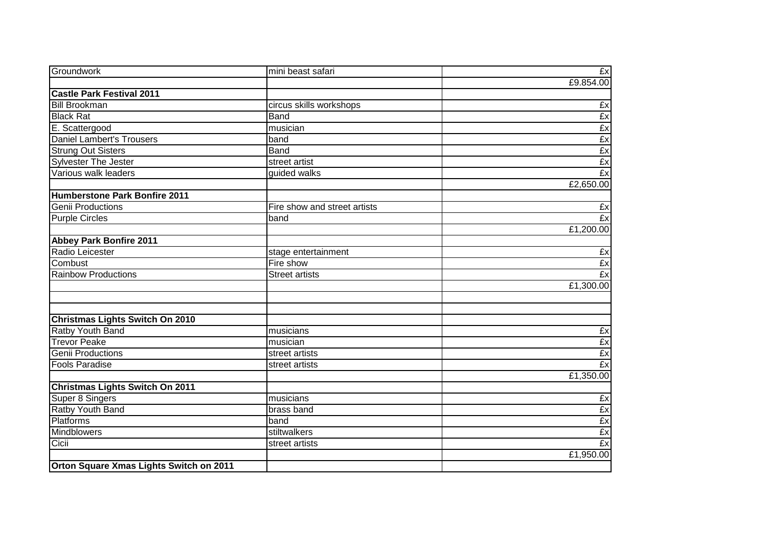| Groundwork                              | mini beast safari            | Ex        |
|-----------------------------------------|------------------------------|-----------|
|                                         |                              | £9.854.00 |
| <b>Castle Park Festival 2011</b>        |                              |           |
| <b>Bill Brookman</b>                    | circus skills workshops      | £x        |
| <b>Black Rat</b>                        | <b>Band</b>                  | Ex        |
| E. Scattergood                          | musician                     | £x        |
| <b>Daniel Lambert's Trousers</b>        | band                         | £x        |
| <b>Strung Out Sisters</b>               | <b>Band</b>                  | £x        |
| Sylvester The Jester                    | street artist                | £x        |
| Various walk leaders                    | guided walks                 | Ex        |
|                                         |                              | £2,650.00 |
| <b>Humberstone Park Bonfire 2011</b>    |                              |           |
| <b>Genii Productions</b>                | Fire show and street artists | £x        |
| <b>Purple Circles</b>                   | band                         | £x        |
|                                         |                              | £1,200.00 |
| <b>Abbey Park Bonfire 2011</b>          |                              |           |
| Radio Leicester                         | stage entertainment          | £x        |
| Combust                                 | Fire show                    | £x        |
| <b>Rainbow Productions</b>              | <b>Street artists</b>        | £x        |
|                                         |                              | £1,300.00 |
|                                         |                              |           |
|                                         |                              |           |
| <b>Christmas Lights Switch On 2010</b>  |                              |           |
| Ratby Youth Band                        | musicians                    | £x        |
| <b>Trevor Peake</b>                     | musician                     | £x        |
| <b>Genii Productions</b>                | street artists               | £x        |
| <b>Fools Paradise</b>                   | street artists               | £x        |
|                                         |                              | £1,350.00 |
| <b>Christmas Lights Switch On 2011</b>  |                              |           |
| Super 8 Singers                         | musicians                    | £x        |
| Ratby Youth Band                        | brass band                   | £x        |
| <b>Platforms</b>                        | band                         | £x        |
| <b>Mindblowers</b>                      | stiltwalkers                 | £x        |
| Cicii                                   | street artists               | £x        |
|                                         |                              | £1,950.00 |
| Orton Square Xmas Lights Switch on 2011 |                              |           |